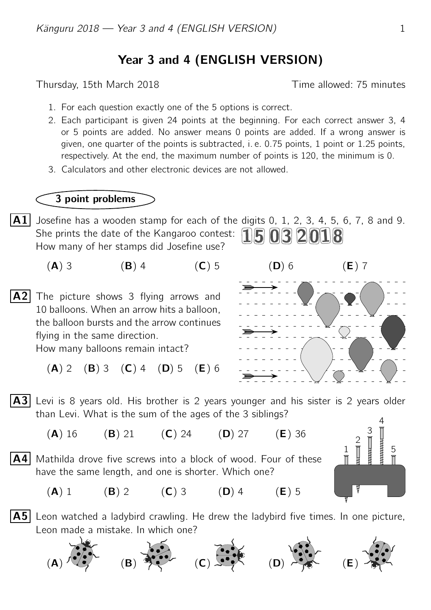## Year 3 and 4 (ENGLISH VERSION)

Thursday, 15th March 2018 Time allowed: 75 minutes

- 1. For each question exactly one of the 5 options is correct.
- 2. Each participant is given 24 points at the beginning. For each correct answer 3, 4 or 5 points are added. No answer means 0 points are added. If a wrong answer is given, one quarter of the points is subtracted, i. e. 0.75 points, 1 point or 1.25 points, respectively. At the end, the maximum number of points is 120, the minimum is 0.
- 3. Calculators and other electronic devices are not allowed.

## 3 point problems

- $\overline{A1}$  Josefine has a wooden stamp for each of the digits 0, 1, 2, 3, 4, 5, 6, 7, 8 and 9. She prints the date of the Kangaroo contest:  $15032018$ How many of her stamps did Josefine use?
	- (A) 3 (B) 4 (C) 5 (D) 6 (E) 7
- $\mathsf{A2}$  The picture shows 3 flying arrows and 10 balloons. When an arrow hits a balloon, the balloon bursts and the arrow continues flying in the same direction.

How many balloons remain intact?

 $(A)$  2  $(B)$  3  $(C)$  4  $(D)$  5  $(E)$  6



- $|A3|$  Levi is 8 years old. His brother is 2 years younger and his sister is 2 years older than Levi. What is the sum of the ages of the 3 siblings?
	- (A) 16 (B) 21 (C) 24 (D) 27 (E) 36
- $\mathsf{A4}$  Mathilda drove five screws into a block of wood. Four of these have the same length, and one is shorter. Which one?
- 1 2 3 4 5
- (A) 1 (B) 2 (C) 3 (D) 4 (E) 5
- $|{\bf A5}|$  Leon watched a ladybird crawling. He drew the ladybird five times. In one picture, Leon made a mistake. In which one?

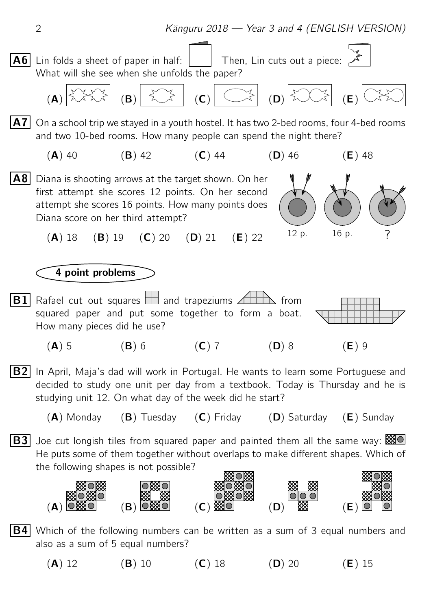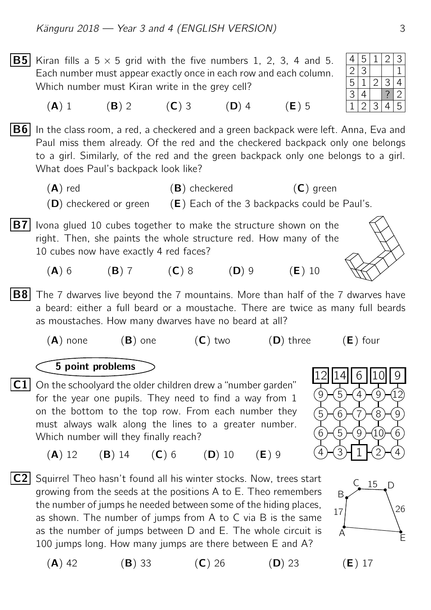B5 Kiran fills a 5 × 5 grid with the five numbers 1, 2, 3, 4 and 5. 4 5 1 2 3 Each number must appear exactly once in each row and each column. Which number must Kiran write in the grey cell?

(A) 1 (B) 2 (C) 3 (D) 4 (E) 5

**B6** In the class room, a red, a checkered and a green backpack were left. Anna, Eva and Paul miss them already. Of the red and the checkered backpack only one belongs to a girl. Similarly, of the red and the green backpack only one belongs to a girl. What does Paul's backpack look like?

 $(A)$  red  $(B)$  checkered  $(C)$  green  $(D)$  checkered or green  $(E)$  Each of the 3 backpacks could be Paul's.

**B7** Ivona glued 10 cubes together to make the structure shown on the right. Then, she paints the whole structure red. How many of the 10 cubes now have exactly 4 red faces?

(A) 6 (B) 7 (C) 8 (D) 9 (E) 10

**B8** The 7 dwarves live beyond the 7 mountains. More than half of the 7 dwarves have a beard: either a full beard or a moustache. There are twice as many full beards as moustaches. How many dwarves have no beard at all?

 $(A)$  none  $(B)$  one  $(C)$  two  $(D)$  three  $(E)$  four

## 5 point problems

- C1 On the schoolyard the older children drew a "number garden" for the year one pupils. They need to find a way from 1 on the bottom to the top row. From each number they must always walk along the lines to a greater number. Which number will they finally reach?
	- (A) 12 (B) 14 (C) 6 (D) 10 (E) 9
- $|C2|$  Squirrel Theo hasn't found all his winter stocks. Now, trees start growing from the seeds at the positions A to E. Theo remembers the number of jumps he needed between some of the hiding places, as shown. The number of jumps from A to C via B is the same as the number of jumps between D and E. The whole circuit is 100 jumps long. How many jumps are there between E and A?







(A) 42 (B) 33 (C) 26 (D) 23 (E) 17